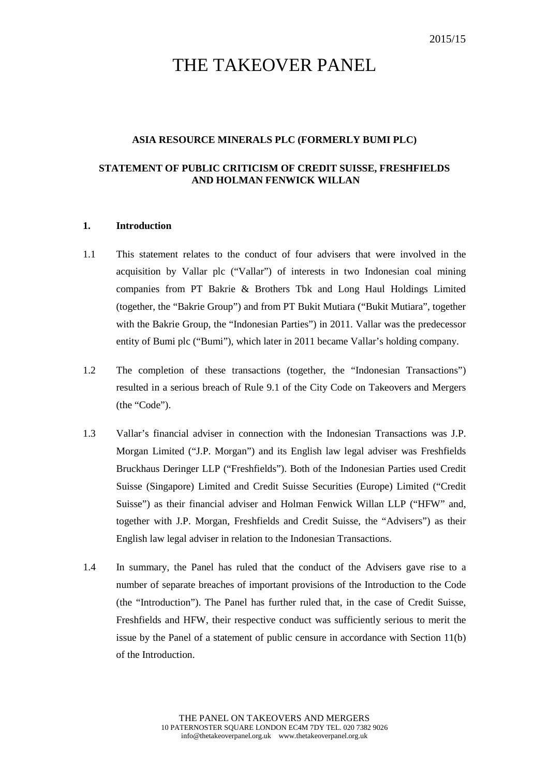# THE TAKEOVER PANEL

## **ASIA RESOURCE MINERALS PLC (FORMERLY BUMI PLC)**

## **STATEMENT OF PUBLIC CRITICISM OF CREDIT SUISSE, FRESHFIELDS AND HOLMAN FENWICK WILLAN**

#### **1. Introduction**

- 1.1 This statement relates to the conduct of four advisers that were involved in the acquisition by Vallar plc ("Vallar") of interests in two Indonesian coal mining companies from PT Bakrie & Brothers Tbk and Long Haul Holdings Limited (together, the "Bakrie Group") and from PT Bukit Mutiara ("Bukit Mutiara", together with the Bakrie Group, the "Indonesian Parties") in 2011. Vallar was the predecessor entity of Bumi plc ("Bumi"), which later in 2011 became Vallar's holding company.
- 1.2 The completion of these transactions (together, the "Indonesian Transactions") resulted in a serious breach of Rule 9.1 of the City Code on Takeovers and Mergers (the "Code").
- 1.3 Vallar's financial adviser in connection with the Indonesian Transactions was J.P. Morgan Limited ("J.P. Morgan") and its English law legal adviser was Freshfields Bruckhaus Deringer LLP ("Freshfields"). Both of the Indonesian Parties used Credit Suisse (Singapore) Limited and Credit Suisse Securities (Europe) Limited ("Credit Suisse") as their financial adviser and Holman Fenwick Willan LLP ("HFW" and, together with J.P. Morgan, Freshfields and Credit Suisse, the "Advisers") as their English law legal adviser in relation to the Indonesian Transactions.
- 1.4 In summary, the Panel has ruled that the conduct of the Advisers gave rise to a number of separate breaches of important provisions of the Introduction to the Code (the "Introduction"). The Panel has further ruled that, in the case of Credit Suisse, Freshfields and HFW, their respective conduct was sufficiently serious to merit the issue by the Panel of a statement of public censure in accordance with Section 11(b) of the Introduction.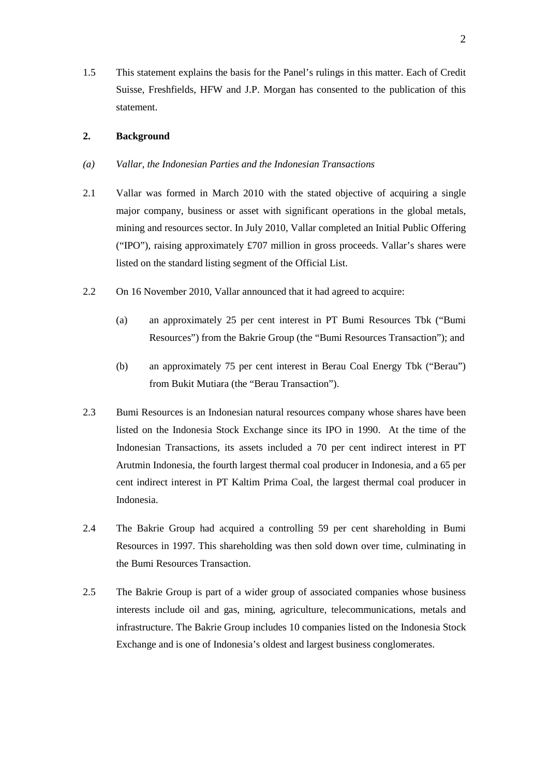1.5 This statement explains the basis for the Panel's rulings in this matter. Each of Credit Suisse, Freshfields, HFW and J.P. Morgan has consented to the publication of this statement.

## **2. Background**

- *(a) Vallar, the Indonesian Parties and the Indonesian Transactions*
- 2.1 Vallar was formed in March 2010 with the stated objective of acquiring a single major company, business or asset with significant operations in the global metals, mining and resources sector. In July 2010, Vallar completed an Initial Public Offering ("IPO"), raising approximately £707 million in gross proceeds. Vallar's shares were listed on the standard listing segment of the Official List.
- 2.2 On 16 November 2010, Vallar announced that it had agreed to acquire:
	- (a) an approximately 25 per cent interest in PT Bumi Resources Tbk ("Bumi Resources") from the Bakrie Group (the "Bumi Resources Transaction"); and
	- (b) an approximately 75 per cent interest in Berau Coal Energy Tbk ("Berau") from Bukit Mutiara (the "Berau Transaction").
- 2.3 Bumi Resources is an Indonesian natural resources company whose shares have been listed on the Indonesia Stock Exchange since its IPO in 1990. At the time of the Indonesian Transactions, its assets included a 70 per cent indirect interest in PT Arutmin Indonesia, the fourth largest thermal coal producer in Indonesia, and a 65 per cent indirect interest in PT Kaltim Prima Coal, the largest thermal coal producer in Indonesia.
- 2.4 The Bakrie Group had acquired a controlling 59 per cent shareholding in Bumi Resources in 1997. This shareholding was then sold down over time, culminating in the Bumi Resources Transaction.
- 2.5 The Bakrie Group is part of a wider group of associated companies whose business interests include oil and gas, mining, agriculture, telecommunications, metals and infrastructure. The Bakrie Group includes 10 companies listed on the Indonesia Stock Exchange and is one of Indonesia's oldest and largest business conglomerates.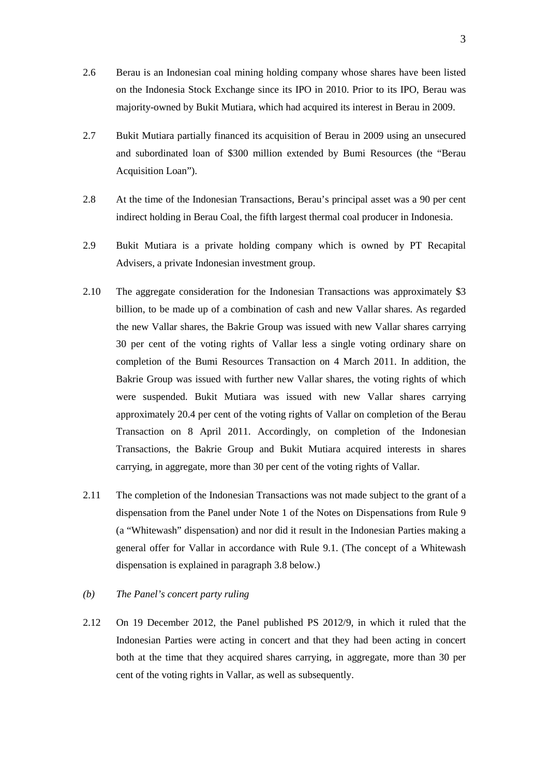- 2.6 Berau is an Indonesian coal mining holding company whose shares have been listed on the Indonesia Stock Exchange since its IPO in 2010. Prior to its IPO, Berau was majority-owned by Bukit Mutiara, which had acquired its interest in Berau in 2009.
- 2.7 Bukit Mutiara partially financed its acquisition of Berau in 2009 using an unsecured and subordinated loan of \$300 million extended by Bumi Resources (the "Berau Acquisition Loan").
- 2.8 At the time of the Indonesian Transactions, Berau's principal asset was a 90 per cent indirect holding in Berau Coal, the fifth largest thermal coal producer in Indonesia.
- 2.9 Bukit Mutiara is a private holding company which is owned by PT Recapital Advisers, a private Indonesian investment group.
- 2.10 The aggregate consideration for the Indonesian Transactions was approximately \$3 billion, to be made up of a combination of cash and new Vallar shares. As regarded the new Vallar shares, the Bakrie Group was issued with new Vallar shares carrying 30 per cent of the voting rights of Vallar less a single voting ordinary share on completion of the Bumi Resources Transaction on 4 March 2011. In addition, the Bakrie Group was issued with further new Vallar shares, the voting rights of which were suspended. Bukit Mutiara was issued with new Vallar shares carrying approximately 20.4 per cent of the voting rights of Vallar on completion of the Berau Transaction on 8 April 2011. Accordingly, on completion of the Indonesian Transactions, the Bakrie Group and Bukit Mutiara acquired interests in shares carrying, in aggregate, more than 30 per cent of the voting rights of Vallar.
- 2.11 The completion of the Indonesian Transactions was not made subject to the grant of a dispensation from the Panel under Note 1 of the Notes on Dispensations from Rule 9 (a "Whitewash" dispensation) and nor did it result in the Indonesian Parties making a general offer for Vallar in accordance with Rule 9.1. (The concept of a Whitewash dispensation is explained in paragraph 3.8 below.)
- *(b) The Panel's concert party ruling*
- 2.12 On 19 December 2012, the Panel published PS 2012/9, in which it ruled that the Indonesian Parties were acting in concert and that they had been acting in concert both at the time that they acquired shares carrying, in aggregate, more than 30 per cent of the voting rights in Vallar, as well as subsequently.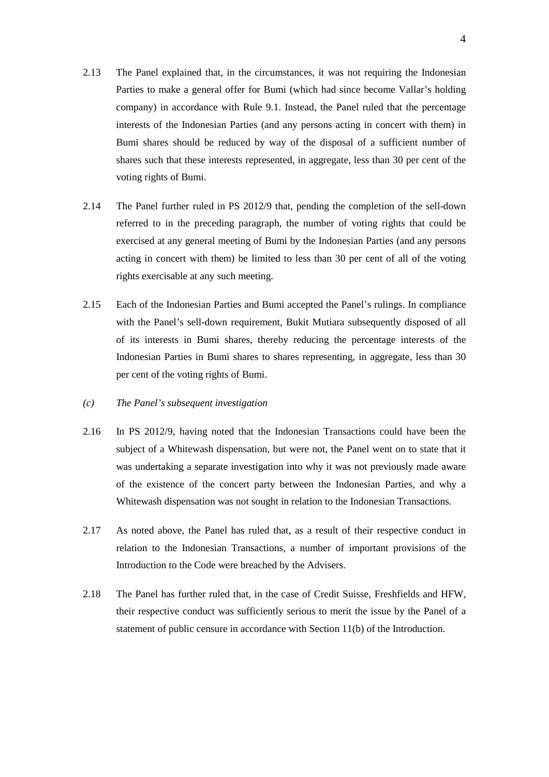- 2.13 The Panel explained that, in the circumstances, it was not requiring the Indonesian Parties to make a general offer for Bumi (which had since become Vallar's holding company) in accordance with Rule 9.1. Instead, the Panel ruled that the percentage interests of the Indonesian Parties (and any persons acting in concert with them) in Bumi shares should be reduced by way of the disposal of a sufficient number of shares such that these interests represented, in aggregate, less than 30 per cent of the voting rights of Bumi.
- 2.14 The Panel further ruled in PS 2012/9 that, pending the completion of the sell-down referred to in the preceding paragraph, the number of voting rights that could be exercised at any general meeting of Bumi by the Indonesian Parties (and any persons acting in concert with them) be limited to less than 30 per cent of all of the voting rights exercisable at any such meeting.
- 2.15 Each of the Indonesian Parties and Bumi accepted the Panel's rulings. In compliance with the Panel's sell-down requirement, Bukit Mutiara subsequently disposed of all of its interests in Bumi shares, thereby reducing the percentage interests of the Indonesian Parties in Bumi shares to shares representing, in aggregate, less than 30 per cent of the voting rights of Bumi.
- *(c) The Panel's subsequent investigation*
- 2.16 In PS 2012/9, having noted that the Indonesian Transactions could have been the subject of a Whitewash dispensation, but were not, the Panel went on to state that it was undertaking a separate investigation into why it was not previously made aware of the existence of the concert party between the Indonesian Parties, and why a Whitewash dispensation was not sought in relation to the Indonesian Transactions.
- 2.17 As noted above, the Panel has ruled that, as a result of their respective conduct in relation to the Indonesian Transactions, a number of important provisions of the Introduction to the Code were breached by the Advisers.
- 2.18 The Panel has further ruled that, in the case of Credit Suisse, Freshfields and HFW, their respective conduct was sufficiently serious to merit the issue by the Panel of a statement of public censure in accordance with Section 11(b) of the Introduction.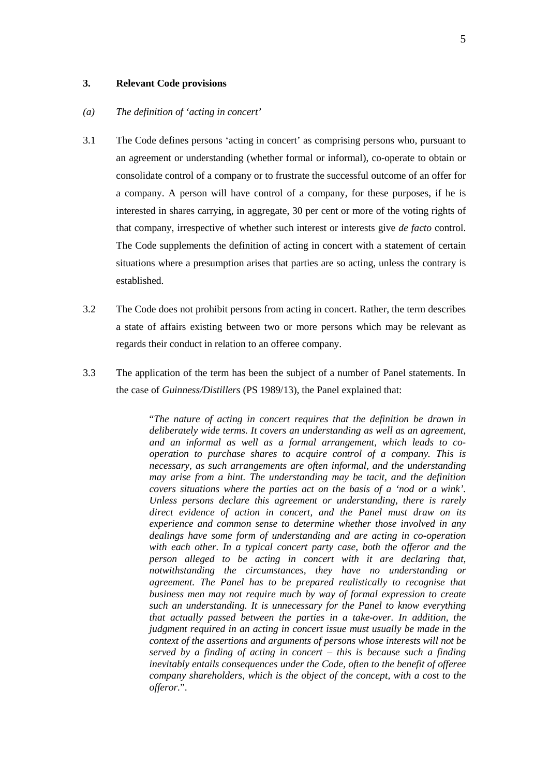## **3. Relevant Code provisions**

#### *(a) The definition of 'acting in concert'*

- 3.1 The Code defines persons 'acting in concert' as comprising persons who, pursuant to an agreement or understanding (whether formal or informal), co-operate to obtain or consolidate control of a company or to frustrate the successful outcome of an offer for a company. A person will have control of a company, for these purposes, if he is interested in shares carrying, in aggregate, 30 per cent or more of the voting rights of that company, irrespective of whether such interest or interests give *de facto* control. The Code supplements the definition of acting in concert with a statement of certain situations where a presumption arises that parties are so acting, unless the contrary is established.
- 3.2 The Code does not prohibit persons from acting in concert. Rather, the term describes a state of affairs existing between two or more persons which may be relevant as regards their conduct in relation to an offeree company.
- 3.3 The application of the term has been the subject of a number of Panel statements. In the case of *Guinness/Distillers* (PS 1989/13), the Panel explained that:

"*The nature of acting in concert requires that the definition be drawn in deliberately wide terms. It covers an understanding as well as an agreement, and an informal as well as a formal arrangement, which leads to cooperation to purchase shares to acquire control of a company. This is necessary, as such arrangements are often informal, and the understanding may arise from a hint. The understanding may be tacit, and the definition covers situations where the parties act on the basis of a 'nod or a wink'. Unless persons declare this agreement or understanding, there is rarely direct evidence of action in concert, and the Panel must draw on its experience and common sense to determine whether those involved in any dealings have some form of understanding and are acting in co-operation with each other. In a typical concert party case, both the offeror and the person alleged to be acting in concert with it are declaring that, notwithstanding the circumstances, they have no understanding or agreement. The Panel has to be prepared realistically to recognise that business men may not require much by way of formal expression to create such an understanding. It is unnecessary for the Panel to know everything that actually passed between the parties in a take-over. In addition, the judgment required in an acting in concert issue must usually be made in the context of the assertions and arguments of persons whose interests will not be served by a finding of acting in concert – this is because such a finding inevitably entails consequences under the Code, often to the benefit of offeree company shareholders, which is the object of the concept, with a cost to the offeror.*".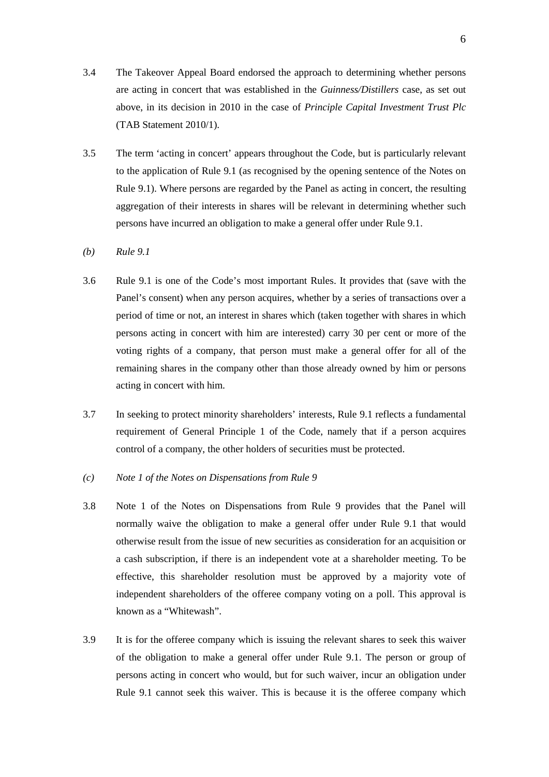- 3.4 The Takeover Appeal Board endorsed the approach to determining whether persons are acting in concert that was established in the *Guinness/Distillers* case, as set out above, in its decision in 2010 in the case of *Principle Capital Investment Trust Plc*  (TAB Statement 2010/1).
- 3.5 The term 'acting in concert' appears throughout the Code, but is particularly relevant to the application of Rule 9.1 (as recognised by the opening sentence of the Notes on Rule 9.1). Where persons are regarded by the Panel as acting in concert, the resulting aggregation of their interests in shares will be relevant in determining whether such persons have incurred an obligation to make a general offer under Rule 9.1.
- *(b) Rule 9.1*
- 3.6 Rule 9.1 is one of the Code's most important Rules. It provides that (save with the Panel's consent) when any person acquires, whether by a series of transactions over a period of time or not, an interest in shares which (taken together with shares in which persons acting in concert with him are interested) carry 30 per cent or more of the voting rights of a company, that person must make a general offer for all of the remaining shares in the company other than those already owned by him or persons acting in concert with him.
- 3.7 In seeking to protect minority shareholders' interests, Rule 9.1 reflects a fundamental requirement of General Principle 1 of the Code, namely that if a person acquires control of a company, the other holders of securities must be protected.
- *(c) Note 1 of the Notes on Dispensations from Rule 9*
- 3.8 Note 1 of the Notes on Dispensations from Rule 9 provides that the Panel will normally waive the obligation to make a general offer under Rule 9.1 that would otherwise result from the issue of new securities as consideration for an acquisition or a cash subscription, if there is an independent vote at a shareholder meeting. To be effective, this shareholder resolution must be approved by a majority vote of independent shareholders of the offeree company voting on a poll. This approval is known as a "Whitewash".
- 3.9 It is for the offeree company which is issuing the relevant shares to seek this waiver of the obligation to make a general offer under Rule 9.1. The person or group of persons acting in concert who would, but for such waiver, incur an obligation under Rule 9.1 cannot seek this waiver. This is because it is the offeree company which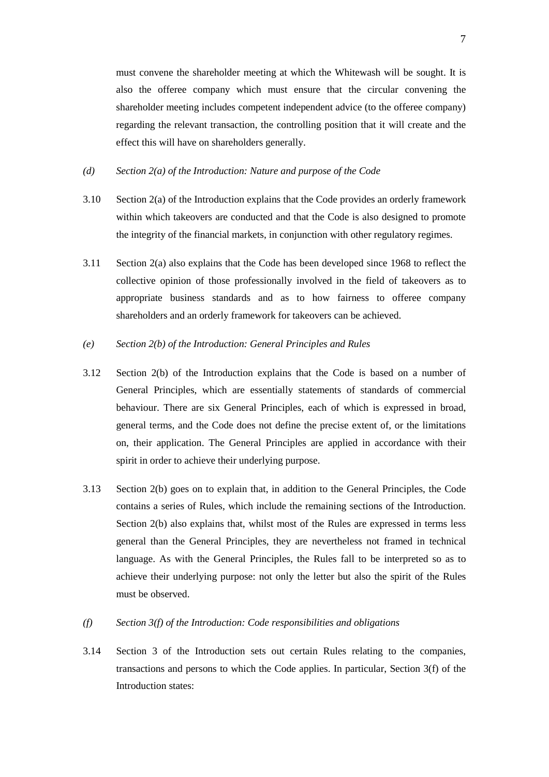must convene the shareholder meeting at which the Whitewash will be sought. It is also the offeree company which must ensure that the circular convening the shareholder meeting includes competent independent advice (to the offeree company) regarding the relevant transaction, the controlling position that it will create and the effect this will have on shareholders generally.

## *(d) Section 2(a) of the Introduction: Nature and purpose of the Code*

- 3.10 Section 2(a) of the Introduction explains that the Code provides an orderly framework within which takeovers are conducted and that the Code is also designed to promote the integrity of the financial markets, in conjunction with other regulatory regimes.
- 3.11 Section 2(a) also explains that the Code has been developed since 1968 to reflect the collective opinion of those professionally involved in the field of takeovers as to appropriate business standards and as to how fairness to offeree company shareholders and an orderly framework for takeovers can be achieved.

## *(e) Section 2(b) of the Introduction: General Principles and Rules*

- 3.12 Section 2(b) of the Introduction explains that the Code is based on a number of General Principles, which are essentially statements of standards of commercial behaviour. There are six General Principles, each of which is expressed in broad, general terms, and the Code does not define the precise extent of, or the limitations on, their application. The General Principles are applied in accordance with their spirit in order to achieve their underlying purpose.
- 3.13 Section 2(b) goes on to explain that, in addition to the General Principles, the Code contains a series of Rules, which include the remaining sections of the Introduction. Section 2(b) also explains that, whilst most of the Rules are expressed in terms less general than the General Principles, they are nevertheless not framed in technical language. As with the General Principles, the Rules fall to be interpreted so as to achieve their underlying purpose: not only the letter but also the spirit of the Rules must be observed.

## *(f) Section 3(f) of the Introduction: Code responsibilities and obligations*

3.14 Section 3 of the Introduction sets out certain Rules relating to the companies, transactions and persons to which the Code applies. In particular, Section 3(f) of the Introduction states: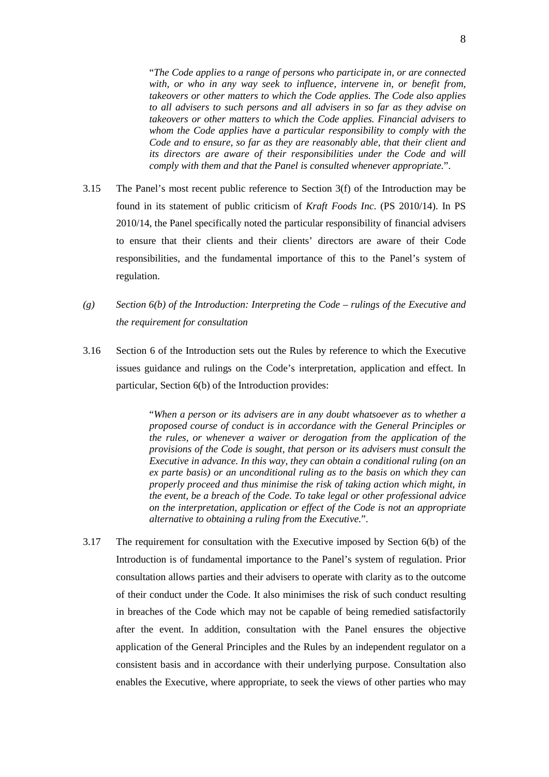"*The Code applies to a range of persons who participate in, or are connected with, or who in any way seek to influence, intervene in, or benefit from, takeovers or other matters to which the Code applies. The Code also applies to all advisers to such persons and all advisers in so far as they advise on takeovers or other matters to which the Code applies. Financial advisers to whom the Code applies have a particular responsibility to comply with the Code and to ensure, so far as they are reasonably able, that their client and its directors are aware of their responsibilities under the Code and will comply with them and that the Panel is consulted whenever appropriate.*".

- 3.15 The Panel's most recent public reference to Section 3(f) of the Introduction may be found in its statement of public criticism of *Kraft Foods Inc*. (PS 2010/14). In PS 2010/14, the Panel specifically noted the particular responsibility of financial advisers to ensure that their clients and their clients' directors are aware of their Code responsibilities, and the fundamental importance of this to the Panel's system of regulation.
- *(g) Section 6(b) of the Introduction: Interpreting the Code – rulings of the Executive and the requirement for consultation*
- 3.16 Section 6 of the Introduction sets out the Rules by reference to which the Executive issues guidance and rulings on the Code's interpretation, application and effect. In particular, Section 6(b) of the Introduction provides:

"*When a person or its advisers are in any doubt whatsoever as to whether a proposed course of conduct is in accordance with the General Principles or the rules, or whenever a waiver or derogation from the application of the provisions of the Code is sought, that person or its advisers must consult the Executive in advance. In this way, they can obtain a conditional ruling (on an ex parte basis) or an unconditional ruling as to the basis on which they can properly proceed and thus minimise the risk of taking action which might, in the event, be a breach of the Code. To take legal or other professional advice on the interpretation, application or effect of the Code is not an appropriate alternative to obtaining a ruling from the Executive.*".

3.17 The requirement for consultation with the Executive imposed by Section 6(b) of the Introduction is of fundamental importance to the Panel's system of regulation. Prior consultation allows parties and their advisers to operate with clarity as to the outcome of their conduct under the Code. It also minimises the risk of such conduct resulting in breaches of the Code which may not be capable of being remedied satisfactorily after the event. In addition, consultation with the Panel ensures the objective application of the General Principles and the Rules by an independent regulator on a consistent basis and in accordance with their underlying purpose. Consultation also enables the Executive, where appropriate, to seek the views of other parties who may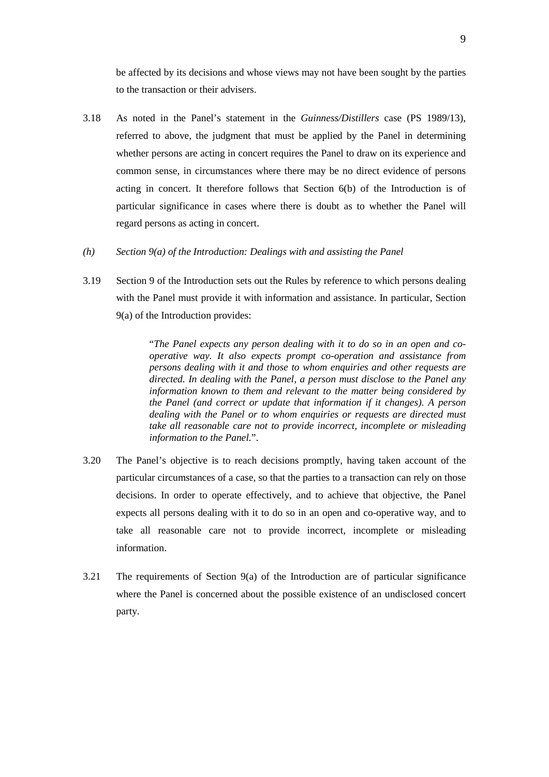be affected by its decisions and whose views may not have been sought by the parties to the transaction or their advisers.

- 3.18 As noted in the Panel's statement in the *Guinness/Distillers* case (PS 1989/13), referred to above, the judgment that must be applied by the Panel in determining whether persons are acting in concert requires the Panel to draw on its experience and common sense, in circumstances where there may be no direct evidence of persons acting in concert. It therefore follows that Section 6(b) of the Introduction is of particular significance in cases where there is doubt as to whether the Panel will regard persons as acting in concert.
- *(h) Section 9(a) of the Introduction: Dealings with and assisting the Panel*
- 3.19 Section 9 of the Introduction sets out the Rules by reference to which persons dealing with the Panel must provide it with information and assistance. In particular, Section 9(a) of the Introduction provides:

"*The Panel expects any person dealing with it to do so in an open and cooperative way. It also expects prompt co-operation and assistance from persons dealing with it and those to whom enquiries and other requests are directed. In dealing with the Panel, a person must disclose to the Panel any information known to them and relevant to the matter being considered by the Panel (and correct or update that information if it changes). A person dealing with the Panel or to whom enquiries or requests are directed must take all reasonable care not to provide incorrect, incomplete or misleading information to the Panel.*".

- 3.20 The Panel's objective is to reach decisions promptly, having taken account of the particular circumstances of a case, so that the parties to a transaction can rely on those decisions. In order to operate effectively, and to achieve that objective, the Panel expects all persons dealing with it to do so in an open and co-operative way, and to take all reasonable care not to provide incorrect, incomplete or misleading information.
- 3.21 The requirements of Section 9(a) of the Introduction are of particular significance where the Panel is concerned about the possible existence of an undisclosed concert party.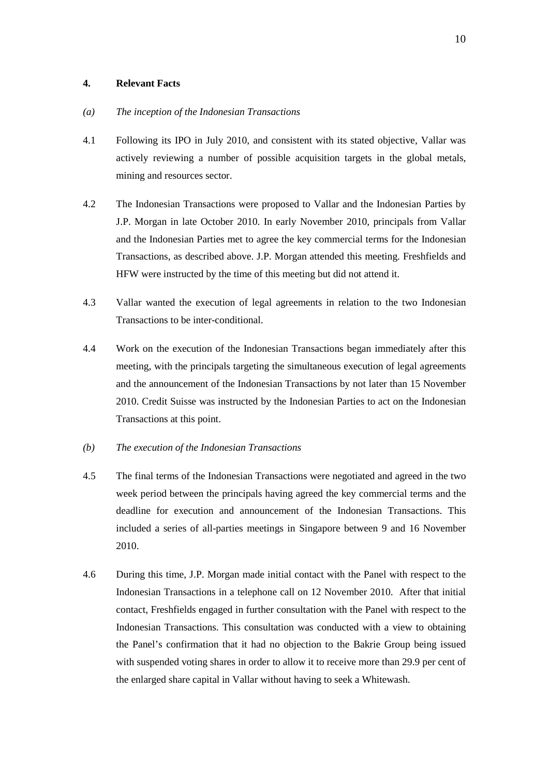## **4. Relevant Facts**

## *(a) The inception of the Indonesian Transactions*

- 4.1 Following its IPO in July 2010, and consistent with its stated objective, Vallar was actively reviewing a number of possible acquisition targets in the global metals, mining and resources sector.
- 4.2 The Indonesian Transactions were proposed to Vallar and the Indonesian Parties by J.P. Morgan in late October 2010. In early November 2010, principals from Vallar and the Indonesian Parties met to agree the key commercial terms for the Indonesian Transactions, as described above. J.P. Morgan attended this meeting. Freshfields and HFW were instructed by the time of this meeting but did not attend it.
- 4.3 Vallar wanted the execution of legal agreements in relation to the two Indonesian Transactions to be inter-conditional.
- 4.4 Work on the execution of the Indonesian Transactions began immediately after this meeting, with the principals targeting the simultaneous execution of legal agreements and the announcement of the Indonesian Transactions by not later than 15 November 2010. Credit Suisse was instructed by the Indonesian Parties to act on the Indonesian Transactions at this point.

## *(b) The execution of the Indonesian Transactions*

- 4.5 The final terms of the Indonesian Transactions were negotiated and agreed in the two week period between the principals having agreed the key commercial terms and the deadline for execution and announcement of the Indonesian Transactions. This included a series of all-parties meetings in Singapore between 9 and 16 November 2010.
- 4.6 During this time, J.P. Morgan made initial contact with the Panel with respect to the Indonesian Transactions in a telephone call on 12 November 2010. After that initial contact, Freshfields engaged in further consultation with the Panel with respect to the Indonesian Transactions. This consultation was conducted with a view to obtaining the Panel's confirmation that it had no objection to the Bakrie Group being issued with suspended voting shares in order to allow it to receive more than 29.9 per cent of the enlarged share capital in Vallar without having to seek a Whitewash.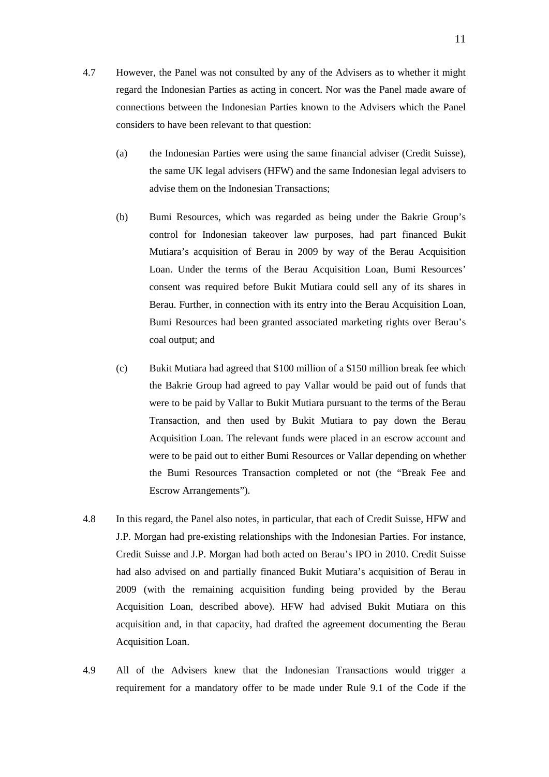- 4.7 However, the Panel was not consulted by any of the Advisers as to whether it might regard the Indonesian Parties as acting in concert. Nor was the Panel made aware of connections between the Indonesian Parties known to the Advisers which the Panel considers to have been relevant to that question:
	- (a) the Indonesian Parties were using the same financial adviser (Credit Suisse), the same UK legal advisers (HFW) and the same Indonesian legal advisers to advise them on the Indonesian Transactions;
	- (b) Bumi Resources, which was regarded as being under the Bakrie Group's control for Indonesian takeover law purposes, had part financed Bukit Mutiara's acquisition of Berau in 2009 by way of the Berau Acquisition Loan. Under the terms of the Berau Acquisition Loan, Bumi Resources' consent was required before Bukit Mutiara could sell any of its shares in Berau. Further, in connection with its entry into the Berau Acquisition Loan, Bumi Resources had been granted associated marketing rights over Berau's coal output; and
	- (c) Bukit Mutiara had agreed that \$100 million of a \$150 million break fee which the Bakrie Group had agreed to pay Vallar would be paid out of funds that were to be paid by Vallar to Bukit Mutiara pursuant to the terms of the Berau Transaction, and then used by Bukit Mutiara to pay down the Berau Acquisition Loan. The relevant funds were placed in an escrow account and were to be paid out to either Bumi Resources or Vallar depending on whether the Bumi Resources Transaction completed or not (the "Break Fee and Escrow Arrangements").
- 4.8 In this regard, the Panel also notes, in particular, that each of Credit Suisse, HFW and J.P. Morgan had pre-existing relationships with the Indonesian Parties. For instance, Credit Suisse and J.P. Morgan had both acted on Berau's IPO in 2010. Credit Suisse had also advised on and partially financed Bukit Mutiara's acquisition of Berau in 2009 (with the remaining acquisition funding being provided by the Berau Acquisition Loan, described above). HFW had advised Bukit Mutiara on this acquisition and, in that capacity, had drafted the agreement documenting the Berau Acquisition Loan.
- 4.9 All of the Advisers knew that the Indonesian Transactions would trigger a requirement for a mandatory offer to be made under Rule 9.1 of the Code if the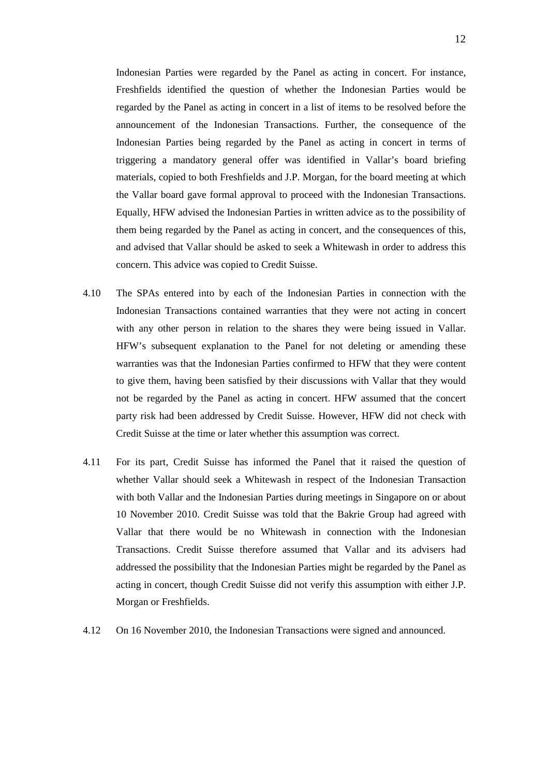Indonesian Parties were regarded by the Panel as acting in concert. For instance, Freshfields identified the question of whether the Indonesian Parties would be regarded by the Panel as acting in concert in a list of items to be resolved before the announcement of the Indonesian Transactions. Further, the consequence of the Indonesian Parties being regarded by the Panel as acting in concert in terms of triggering a mandatory general offer was identified in Vallar's board briefing materials, copied to both Freshfields and J.P. Morgan, for the board meeting at which the Vallar board gave formal approval to proceed with the Indonesian Transactions. Equally, HFW advised the Indonesian Parties in written advice as to the possibility of them being regarded by the Panel as acting in concert, and the consequences of this, and advised that Vallar should be asked to seek a Whitewash in order to address this concern. This advice was copied to Credit Suisse.

- 4.10 The SPAs entered into by each of the Indonesian Parties in connection with the Indonesian Transactions contained warranties that they were not acting in concert with any other person in relation to the shares they were being issued in Vallar. HFW's subsequent explanation to the Panel for not deleting or amending these warranties was that the Indonesian Parties confirmed to HFW that they were content to give them, having been satisfied by their discussions with Vallar that they would not be regarded by the Panel as acting in concert. HFW assumed that the concert party risk had been addressed by Credit Suisse. However, HFW did not check with Credit Suisse at the time or later whether this assumption was correct.
- 4.11 For its part, Credit Suisse has informed the Panel that it raised the question of whether Vallar should seek a Whitewash in respect of the Indonesian Transaction with both Vallar and the Indonesian Parties during meetings in Singapore on or about 10 November 2010. Credit Suisse was told that the Bakrie Group had agreed with Vallar that there would be no Whitewash in connection with the Indonesian Transactions. Credit Suisse therefore assumed that Vallar and its advisers had addressed the possibility that the Indonesian Parties might be regarded by the Panel as acting in concert, though Credit Suisse did not verify this assumption with either J.P. Morgan or Freshfields.
- 4.12 On 16 November 2010, the Indonesian Transactions were signed and announced.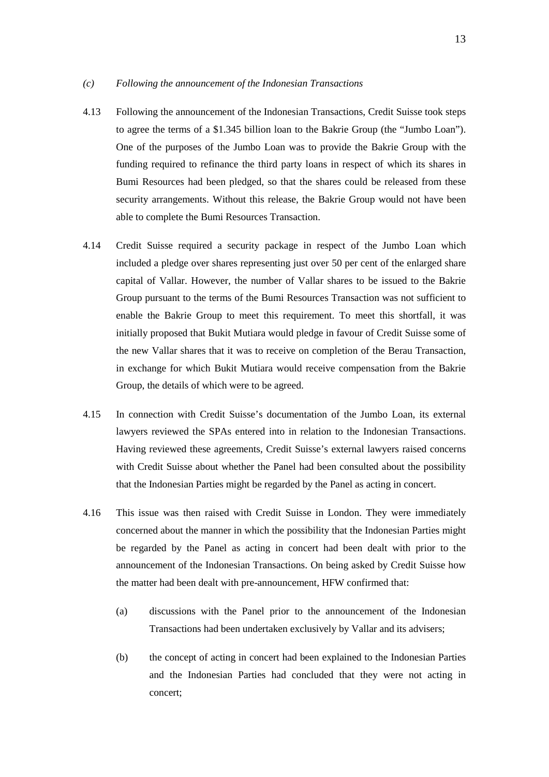## *(c) Following the announcement of the Indonesian Transactions*

- 4.13 Following the announcement of the Indonesian Transactions, Credit Suisse took steps to agree the terms of a \$1.345 billion loan to the Bakrie Group (the "Jumbo Loan"). One of the purposes of the Jumbo Loan was to provide the Bakrie Group with the funding required to refinance the third party loans in respect of which its shares in Bumi Resources had been pledged, so that the shares could be released from these security arrangements. Without this release, the Bakrie Group would not have been able to complete the Bumi Resources Transaction.
- 4.14 Credit Suisse required a security package in respect of the Jumbo Loan which included a pledge over shares representing just over 50 per cent of the enlarged share capital of Vallar. However, the number of Vallar shares to be issued to the Bakrie Group pursuant to the terms of the Bumi Resources Transaction was not sufficient to enable the Bakrie Group to meet this requirement. To meet this shortfall, it was initially proposed that Bukit Mutiara would pledge in favour of Credit Suisse some of the new Vallar shares that it was to receive on completion of the Berau Transaction, in exchange for which Bukit Mutiara would receive compensation from the Bakrie Group, the details of which were to be agreed.
- 4.15 In connection with Credit Suisse's documentation of the Jumbo Loan, its external lawyers reviewed the SPAs entered into in relation to the Indonesian Transactions. Having reviewed these agreements, Credit Suisse's external lawyers raised concerns with Credit Suisse about whether the Panel had been consulted about the possibility that the Indonesian Parties might be regarded by the Panel as acting in concert.
- 4.16 This issue was then raised with Credit Suisse in London. They were immediately concerned about the manner in which the possibility that the Indonesian Parties might be regarded by the Panel as acting in concert had been dealt with prior to the announcement of the Indonesian Transactions. On being asked by Credit Suisse how the matter had been dealt with pre-announcement, HFW confirmed that:
	- (a) discussions with the Panel prior to the announcement of the Indonesian Transactions had been undertaken exclusively by Vallar and its advisers;
	- (b) the concept of acting in concert had been explained to the Indonesian Parties and the Indonesian Parties had concluded that they were not acting in concert;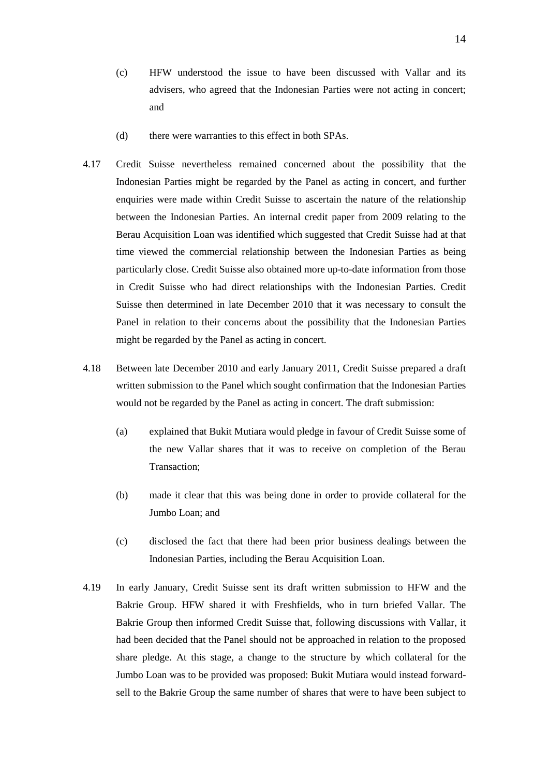- (c) HFW understood the issue to have been discussed with Vallar and its advisers, who agreed that the Indonesian Parties were not acting in concert; and
- (d) there were warranties to this effect in both SPAs.
- 4.17 Credit Suisse nevertheless remained concerned about the possibility that the Indonesian Parties might be regarded by the Panel as acting in concert, and further enquiries were made within Credit Suisse to ascertain the nature of the relationship between the Indonesian Parties. An internal credit paper from 2009 relating to the Berau Acquisition Loan was identified which suggested that Credit Suisse had at that time viewed the commercial relationship between the Indonesian Parties as being particularly close. Credit Suisse also obtained more up-to-date information from those in Credit Suisse who had direct relationships with the Indonesian Parties. Credit Suisse then determined in late December 2010 that it was necessary to consult the Panel in relation to their concerns about the possibility that the Indonesian Parties might be regarded by the Panel as acting in concert.
- 4.18 Between late December 2010 and early January 2011, Credit Suisse prepared a draft written submission to the Panel which sought confirmation that the Indonesian Parties would not be regarded by the Panel as acting in concert. The draft submission:
	- (a) explained that Bukit Mutiara would pledge in favour of Credit Suisse some of the new Vallar shares that it was to receive on completion of the Berau Transaction;
	- (b) made it clear that this was being done in order to provide collateral for the Jumbo Loan; and
	- (c) disclosed the fact that there had been prior business dealings between the Indonesian Parties, including the Berau Acquisition Loan.
- 4.19 In early January, Credit Suisse sent its draft written submission to HFW and the Bakrie Group. HFW shared it with Freshfields, who in turn briefed Vallar. The Bakrie Group then informed Credit Suisse that, following discussions with Vallar, it had been decided that the Panel should not be approached in relation to the proposed share pledge. At this stage, a change to the structure by which collateral for the Jumbo Loan was to be provided was proposed: Bukit Mutiara would instead forwardsell to the Bakrie Group the same number of shares that were to have been subject to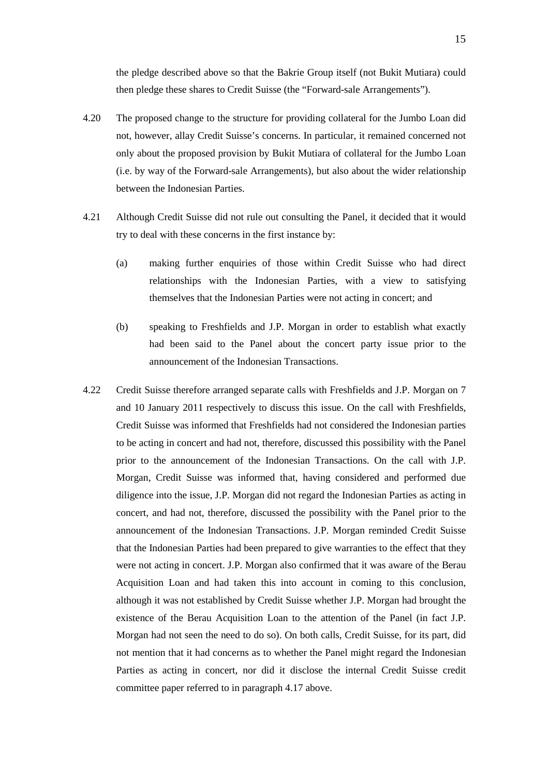the pledge described above so that the Bakrie Group itself (not Bukit Mutiara) could then pledge these shares to Credit Suisse (the "Forward-sale Arrangements").

- 4.20 The proposed change to the structure for providing collateral for the Jumbo Loan did not, however, allay Credit Suisse's concerns. In particular, it remained concerned not only about the proposed provision by Bukit Mutiara of collateral for the Jumbo Loan (i.e. by way of the Forward-sale Arrangements), but also about the wider relationship between the Indonesian Parties.
- 4.21 Although Credit Suisse did not rule out consulting the Panel, it decided that it would try to deal with these concerns in the first instance by:
	- (a) making further enquiries of those within Credit Suisse who had direct relationships with the Indonesian Parties, with a view to satisfying themselves that the Indonesian Parties were not acting in concert; and
	- (b) speaking to Freshfields and J.P. Morgan in order to establish what exactly had been said to the Panel about the concert party issue prior to the announcement of the Indonesian Transactions.
- 4.22 Credit Suisse therefore arranged separate calls with Freshfields and J.P. Morgan on 7 and 10 January 2011 respectively to discuss this issue. On the call with Freshfields, Credit Suisse was informed that Freshfields had not considered the Indonesian parties to be acting in concert and had not, therefore, discussed this possibility with the Panel prior to the announcement of the Indonesian Transactions. On the call with J.P. Morgan, Credit Suisse was informed that, having considered and performed due diligence into the issue, J.P. Morgan did not regard the Indonesian Parties as acting in concert, and had not, therefore, discussed the possibility with the Panel prior to the announcement of the Indonesian Transactions. J.P. Morgan reminded Credit Suisse that the Indonesian Parties had been prepared to give warranties to the effect that they were not acting in concert. J.P. Morgan also confirmed that it was aware of the Berau Acquisition Loan and had taken this into account in coming to this conclusion, although it was not established by Credit Suisse whether J.P. Morgan had brought the existence of the Berau Acquisition Loan to the attention of the Panel (in fact J.P. Morgan had not seen the need to do so). On both calls, Credit Suisse, for its part, did not mention that it had concerns as to whether the Panel might regard the Indonesian Parties as acting in concert, nor did it disclose the internal Credit Suisse credit committee paper referred to in paragraph 4.17 above.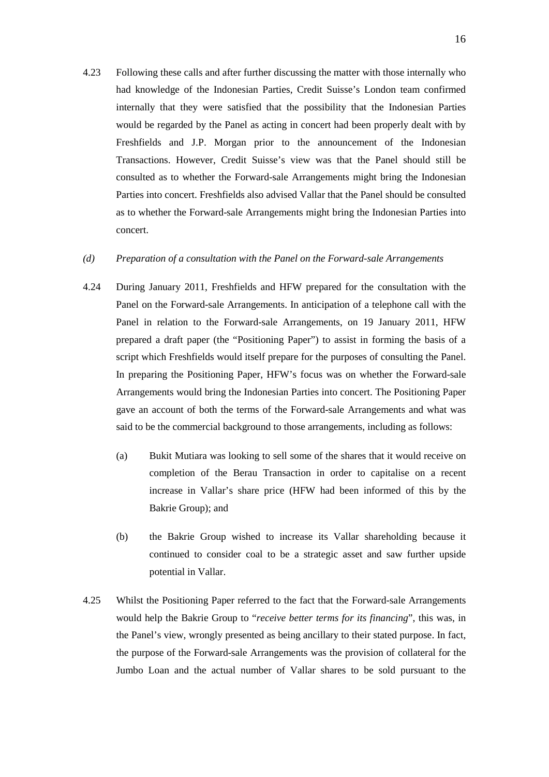4.23 Following these calls and after further discussing the matter with those internally who had knowledge of the Indonesian Parties, Credit Suisse's London team confirmed internally that they were satisfied that the possibility that the Indonesian Parties would be regarded by the Panel as acting in concert had been properly dealt with by Freshfields and J.P. Morgan prior to the announcement of the Indonesian Transactions. However, Credit Suisse's view was that the Panel should still be consulted as to whether the Forward-sale Arrangements might bring the Indonesian Parties into concert. Freshfields also advised Vallar that the Panel should be consulted as to whether the Forward-sale Arrangements might bring the Indonesian Parties into concert.

## *(d) Preparation of a consultation with the Panel on the Forward-sale Arrangements*

- 4.24 During January 2011, Freshfields and HFW prepared for the consultation with the Panel on the Forward-sale Arrangements. In anticipation of a telephone call with the Panel in relation to the Forward-sale Arrangements, on 19 January 2011, HFW prepared a draft paper (the "Positioning Paper") to assist in forming the basis of a script which Freshfields would itself prepare for the purposes of consulting the Panel. In preparing the Positioning Paper, HFW's focus was on whether the Forward-sale Arrangements would bring the Indonesian Parties into concert. The Positioning Paper gave an account of both the terms of the Forward-sale Arrangements and what was said to be the commercial background to those arrangements, including as follows:
	- (a) Bukit Mutiara was looking to sell some of the shares that it would receive on completion of the Berau Transaction in order to capitalise on a recent increase in Vallar's share price (HFW had been informed of this by the Bakrie Group); and
	- (b) the Bakrie Group wished to increase its Vallar shareholding because it continued to consider coal to be a strategic asset and saw further upside potential in Vallar.
- 4.25 Whilst the Positioning Paper referred to the fact that the Forward-sale Arrangements would help the Bakrie Group to "*receive better terms for its financing*", this was, in the Panel's view, wrongly presented as being ancillary to their stated purpose. In fact, the purpose of the Forward-sale Arrangements was the provision of collateral for the Jumbo Loan and the actual number of Vallar shares to be sold pursuant to the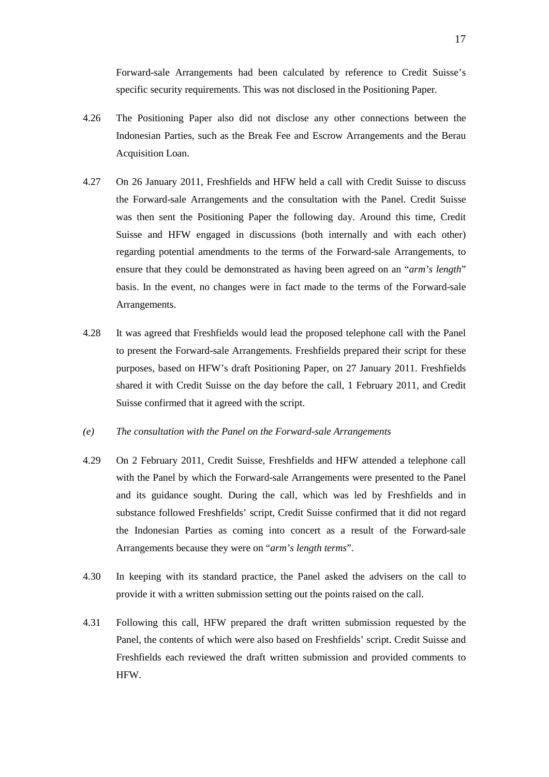Forward-sale Arrangements had been calculated by reference to Credit Suisse's specific security requirements. This was not disclosed in the Positioning Paper.

- 4.26 The Positioning Paper also did not disclose any other connections between the Indonesian Parties, such as the Break Fee and Escrow Arrangements and the Berau Acquisition Loan.
- 4.27 On 26 January 2011, Freshfields and HFW held a call with Credit Suisse to discuss the Forward-sale Arrangements and the consultation with the Panel. Credit Suisse was then sent the Positioning Paper the following day. Around this time, Credit Suisse and HFW engaged in discussions (both internally and with each other) regarding potential amendments to the terms of the Forward-sale Arrangements, to ensure that they could be demonstrated as having been agreed on an "*arm's length*" basis. In the event, no changes were in fact made to the terms of the Forward-sale Arrangements.
- 4.28 It was agreed that Freshfields would lead the proposed telephone call with the Panel to present the Forward-sale Arrangements. Freshfields prepared their script for these purposes, based on HFW's draft Positioning Paper, on 27 January 2011. Freshfields shared it with Credit Suisse on the day before the call, 1 February 2011, and Credit Suisse confirmed that it agreed with the script.
- *(e) The consultation with the Panel on the Forward-sale Arrangements*
- 4.29 On 2 February 2011, Credit Suisse, Freshfields and HFW attended a telephone call with the Panel by which the Forward-sale Arrangements were presented to the Panel and its guidance sought. During the call, which was led by Freshfields and in substance followed Freshfields' script, Credit Suisse confirmed that it did not regard the Indonesian Parties as coming into concert as a result of the Forward-sale Arrangements because they were on "*arm's length terms*".
- 4.30 In keeping with its standard practice, the Panel asked the advisers on the call to provide it with a written submission setting out the points raised on the call.
- 4.31 Following this call, HFW prepared the draft written submission requested by the Panel, the contents of which were also based on Freshfields' script. Credit Suisse and Freshfields each reviewed the draft written submission and provided comments to HFW.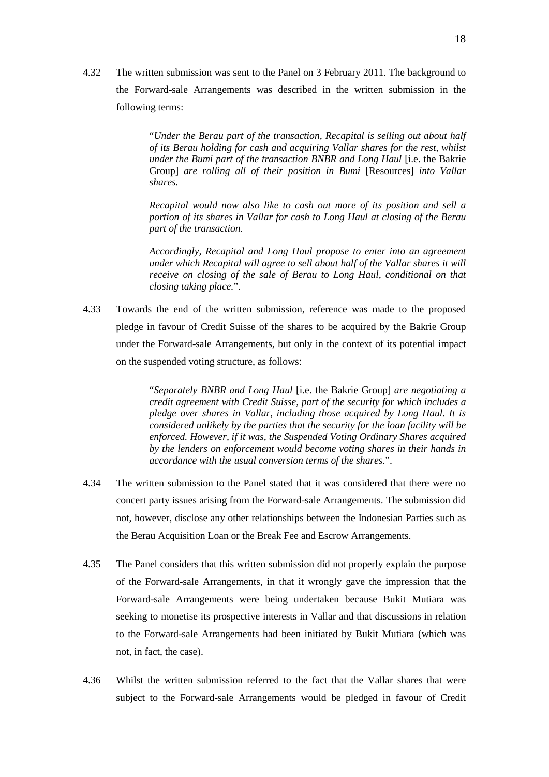4.32 The written submission was sent to the Panel on 3 February 2011. The background to the Forward-sale Arrangements was described in the written submission in the following terms:

> "*Under the Berau part of the transaction, Recapital is selling out about half of its Berau holding for cash and acquiring Vallar shares for the rest, whilst under the Bumi part of the transaction BNBR and Long Haul* [i.e. the Bakrie Group] *are rolling all of their position in Bumi* [Resources] *into Vallar shares.*

> *Recapital would now also like to cash out more of its position and sell a portion of its shares in Vallar for cash to Long Haul at closing of the Berau part of the transaction.*

> *Accordingly, Recapital and Long Haul propose to enter into an agreement under which Recapital will agree to sell about half of the Vallar shares it will receive on closing of the sale of Berau to Long Haul, conditional on that closing taking place.*".

4.33 Towards the end of the written submission, reference was made to the proposed pledge in favour of Credit Suisse of the shares to be acquired by the Bakrie Group under the Forward-sale Arrangements, but only in the context of its potential impact on the suspended voting structure, as follows:

> "*Separately BNBR and Long Haul* [i.e. the Bakrie Group] *are negotiating a credit agreement with Credit Suisse, part of the security for which includes a pledge over shares in Vallar, including those acquired by Long Haul. It is considered unlikely by the parties that the security for the loan facility will be enforced. However, if it was, the Suspended Voting Ordinary Shares acquired by the lenders on enforcement would become voting shares in their hands in accordance with the usual conversion terms of the shares.*".

- 4.34 The written submission to the Panel stated that it was considered that there were no concert party issues arising from the Forward-sale Arrangements. The submission did not, however, disclose any other relationships between the Indonesian Parties such as the Berau Acquisition Loan or the Break Fee and Escrow Arrangements.
- 4.35 The Panel considers that this written submission did not properly explain the purpose of the Forward-sale Arrangements, in that it wrongly gave the impression that the Forward-sale Arrangements were being undertaken because Bukit Mutiara was seeking to monetise its prospective interests in Vallar and that discussions in relation to the Forward-sale Arrangements had been initiated by Bukit Mutiara (which was not, in fact, the case).
- 4.36 Whilst the written submission referred to the fact that the Vallar shares that were subject to the Forward-sale Arrangements would be pledged in favour of Credit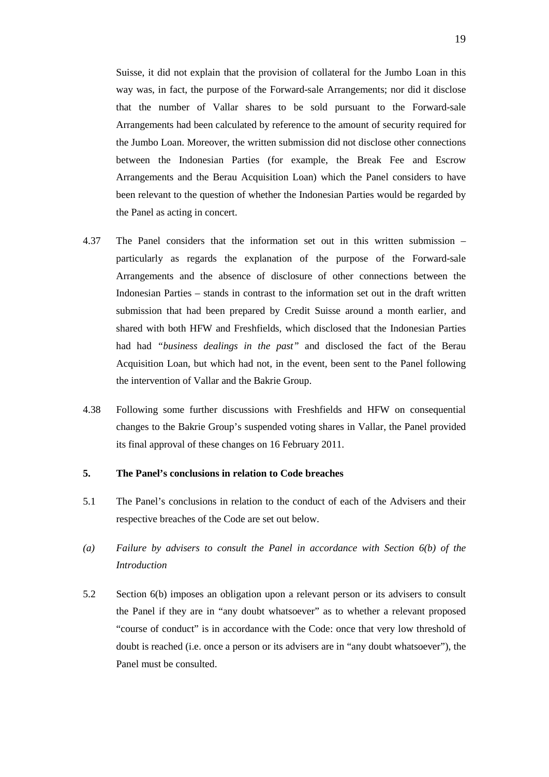Suisse, it did not explain that the provision of collateral for the Jumbo Loan in this way was, in fact, the purpose of the Forward-sale Arrangements; nor did it disclose that the number of Vallar shares to be sold pursuant to the Forward-sale Arrangements had been calculated by reference to the amount of security required for the Jumbo Loan. Moreover, the written submission did not disclose other connections between the Indonesian Parties (for example, the Break Fee and Escrow Arrangements and the Berau Acquisition Loan) which the Panel considers to have been relevant to the question of whether the Indonesian Parties would be regarded by the Panel as acting in concert.

- 4.37 The Panel considers that the information set out in this written submission particularly as regards the explanation of the purpose of the Forward-sale Arrangements and the absence of disclosure of other connections between the Indonesian Parties – stands in contrast to the information set out in the draft written submission that had been prepared by Credit Suisse around a month earlier, and shared with both HFW and Freshfields, which disclosed that the Indonesian Parties had had *"business dealings in the past"* and disclosed the fact of the Berau Acquisition Loan, but which had not, in the event, been sent to the Panel following the intervention of Vallar and the Bakrie Group.
- 4.38 Following some further discussions with Freshfields and HFW on consequential changes to the Bakrie Group's suspended voting shares in Vallar, the Panel provided its final approval of these changes on 16 February 2011.

## **5. The Panel's conclusions in relation to Code breaches**

- 5.1 The Panel's conclusions in relation to the conduct of each of the Advisers and their respective breaches of the Code are set out below.
- *(a) Failure by advisers to consult the Panel in accordance with Section 6(b) of the Introduction*
- 5.2 Section 6(b) imposes an obligation upon a relevant person or its advisers to consult the Panel if they are in "any doubt whatsoever" as to whether a relevant proposed "course of conduct" is in accordance with the Code: once that very low threshold of doubt is reached (i.e. once a person or its advisers are in "any doubt whatsoever"), the Panel must be consulted.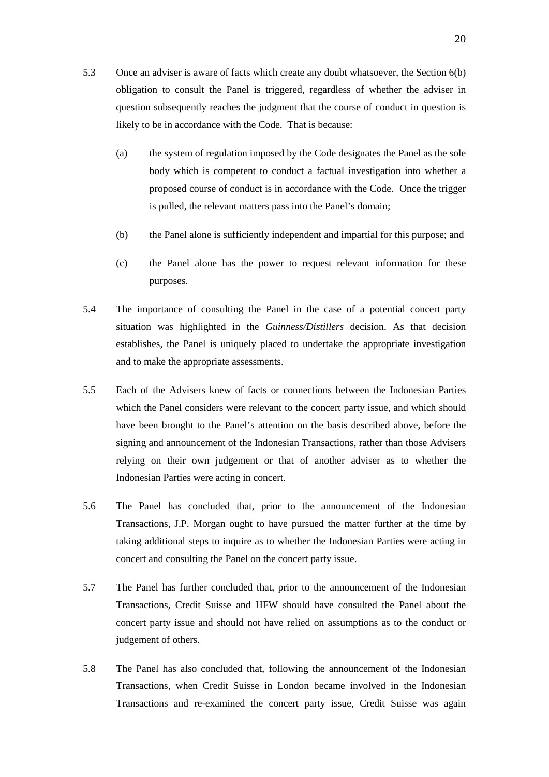- 5.3 Once an adviser is aware of facts which create any doubt whatsoever, the Section 6(b) obligation to consult the Panel is triggered, regardless of whether the adviser in question subsequently reaches the judgment that the course of conduct in question is likely to be in accordance with the Code. That is because:
	- (a) the system of regulation imposed by the Code designates the Panel as the sole body which is competent to conduct a factual investigation into whether a proposed course of conduct is in accordance with the Code. Once the trigger is pulled, the relevant matters pass into the Panel's domain;
	- (b) the Panel alone is sufficiently independent and impartial for this purpose; and
	- (c) the Panel alone has the power to request relevant information for these purposes.
- 5.4 The importance of consulting the Panel in the case of a potential concert party situation was highlighted in the *Guinness/Distillers* decision. As that decision establishes, the Panel is uniquely placed to undertake the appropriate investigation and to make the appropriate assessments.
- 5.5 Each of the Advisers knew of facts or connections between the Indonesian Parties which the Panel considers were relevant to the concert party issue, and which should have been brought to the Panel's attention on the basis described above, before the signing and announcement of the Indonesian Transactions, rather than those Advisers relying on their own judgement or that of another adviser as to whether the Indonesian Parties were acting in concert.
- 5.6 The Panel has concluded that, prior to the announcement of the Indonesian Transactions, J.P. Morgan ought to have pursued the matter further at the time by taking additional steps to inquire as to whether the Indonesian Parties were acting in concert and consulting the Panel on the concert party issue.
- 5.7 The Panel has further concluded that, prior to the announcement of the Indonesian Transactions, Credit Suisse and HFW should have consulted the Panel about the concert party issue and should not have relied on assumptions as to the conduct or judgement of others.
- 5.8 The Panel has also concluded that, following the announcement of the Indonesian Transactions, when Credit Suisse in London became involved in the Indonesian Transactions and re-examined the concert party issue, Credit Suisse was again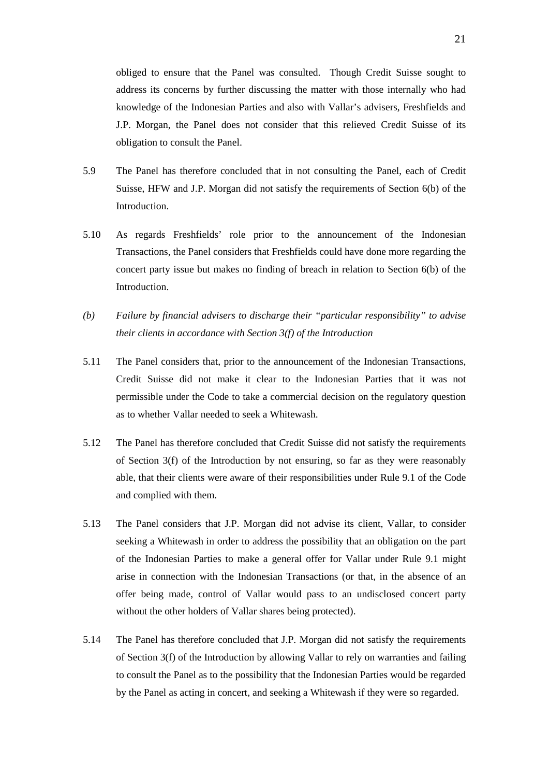obliged to ensure that the Panel was consulted. Though Credit Suisse sought to address its concerns by further discussing the matter with those internally who had knowledge of the Indonesian Parties and also with Vallar's advisers, Freshfields and J.P. Morgan, the Panel does not consider that this relieved Credit Suisse of its obligation to consult the Panel.

- 5.9 The Panel has therefore concluded that in not consulting the Panel, each of Credit Suisse, HFW and J.P. Morgan did not satisfy the requirements of Section 6(b) of the Introduction.
- 5.10 As regards Freshfields' role prior to the announcement of the Indonesian Transactions, the Panel considers that Freshfields could have done more regarding the concert party issue but makes no finding of breach in relation to Section 6(b) of the Introduction.
- *(b) Failure by financial advisers to discharge their "particular responsibility" to advise their clients in accordance with Section 3(f) of the Introduction*
- 5.11 The Panel considers that, prior to the announcement of the Indonesian Transactions, Credit Suisse did not make it clear to the Indonesian Parties that it was not permissible under the Code to take a commercial decision on the regulatory question as to whether Vallar needed to seek a Whitewash.
- 5.12 The Panel has therefore concluded that Credit Suisse did not satisfy the requirements of Section 3(f) of the Introduction by not ensuring, so far as they were reasonably able, that their clients were aware of their responsibilities under Rule 9.1 of the Code and complied with them.
- 5.13 The Panel considers that J.P. Morgan did not advise its client, Vallar, to consider seeking a Whitewash in order to address the possibility that an obligation on the part of the Indonesian Parties to make a general offer for Vallar under Rule 9.1 might arise in connection with the Indonesian Transactions (or that, in the absence of an offer being made, control of Vallar would pass to an undisclosed concert party without the other holders of Vallar shares being protected).
- 5.14 The Panel has therefore concluded that J.P. Morgan did not satisfy the requirements of Section  $3(f)$  of the Introduction by allowing Vallar to rely on warranties and failing to consult the Panel as to the possibility that the Indonesian Parties would be regarded by the Panel as acting in concert, and seeking a Whitewash if they were so regarded.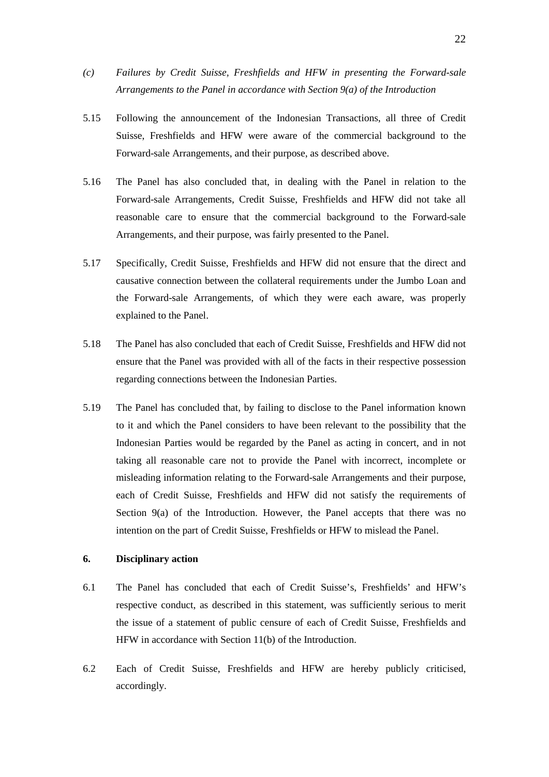- *(c) Failures by Credit Suisse, Freshfields and HFW in presenting the Forward-sale Arrangements to the Panel in accordance with Section 9(a) of the Introduction*
- 5.15 Following the announcement of the Indonesian Transactions, all three of Credit Suisse, Freshfields and HFW were aware of the commercial background to the Forward-sale Arrangements, and their purpose, as described above.
- 5.16 The Panel has also concluded that, in dealing with the Panel in relation to the Forward-sale Arrangements, Credit Suisse, Freshfields and HFW did not take all reasonable care to ensure that the commercial background to the Forward-sale Arrangements, and their purpose, was fairly presented to the Panel.
- 5.17 Specifically, Credit Suisse, Freshfields and HFW did not ensure that the direct and causative connection between the collateral requirements under the Jumbo Loan and the Forward-sale Arrangements, of which they were each aware, was properly explained to the Panel.
- 5.18 The Panel has also concluded that each of Credit Suisse, Freshfields and HFW did not ensure that the Panel was provided with all of the facts in their respective possession regarding connections between the Indonesian Parties.
- 5.19 The Panel has concluded that, by failing to disclose to the Panel information known to it and which the Panel considers to have been relevant to the possibility that the Indonesian Parties would be regarded by the Panel as acting in concert, and in not taking all reasonable care not to provide the Panel with incorrect, incomplete or misleading information relating to the Forward-sale Arrangements and their purpose, each of Credit Suisse, Freshfields and HFW did not satisfy the requirements of Section 9(a) of the Introduction. However, the Panel accepts that there was no intention on the part of Credit Suisse, Freshfields or HFW to mislead the Panel.

## **6. Disciplinary action**

- 6.1 The Panel has concluded that each of Credit Suisse's, Freshfields' and HFW's respective conduct, as described in this statement, was sufficiently serious to merit the issue of a statement of public censure of each of Credit Suisse, Freshfields and HFW in accordance with Section 11(b) of the Introduction.
- 6.2 Each of Credit Suisse, Freshfields and HFW are hereby publicly criticised, accordingly.